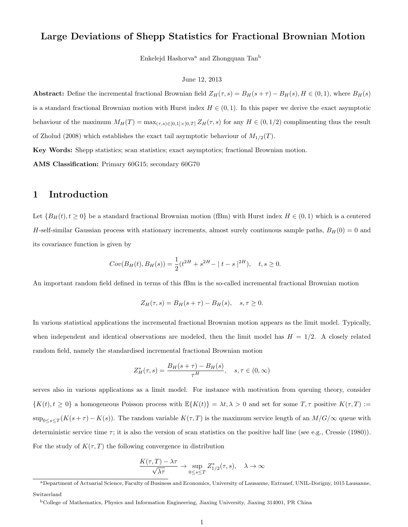## Large Deviations of Shepp Statistics for Fractional Brownian Motion

Enkelejd Hashorva<sup>a</sup> and Zhongquan Tan<sup>b</sup>

#### June 12, 2013

Abstract: Define the incremental fractional Brownian field  $Z_H(\tau, s) = B_H(s + \tau) - B_H(s), H \in (0, 1)$ , where  $B_H(s)$ is a standard fractional Brownian motion with Hurst index  $H \in (0, 1)$ . In this paper we derive the exact asymptotic behaviour of the maximum  $M_H(T) = \max_{(\tau,s)\in[0,1]\times[0,T]} Z_H(\tau,s)$  for any  $H \in (0,1/2)$  complimenting thus the result of Zholud (2008) which establishes the exact tail asymptotic behaviour of  $M_{1/2}(T)$ .

Key Words: Shepp statistics; scan statistics; exact asymptotics; fractional Brownian motion.

AMS Classification: Primary 60G15; secondary 60G70

### 1 Introduction

Let  ${B_H(t), t \ge 0}$  be a standard fractional Brownian motion (fBm) with Hurst index  $H \in (0, 1)$  which is a centered H-self-similar Gaussian process with stationary increments, almost surely continuous sample paths,  $B_H(0) = 0$  and its covariance function is given by

$$
Cov(B_H(t), B_H(s)) = \frac{1}{2}(t^{2H} + s^{2H} - |t - s|^{2H}), \quad t, s \ge 0.
$$

An important random field defined in terms of this fBm is the so-called incremental fractional Brownian motion

$$
Z_H(\tau, s) = B_H(s + \tau) - B_H(s), \quad s, \tau \ge 0.
$$

In various statistical applications the incremental fractional Brownian motion appears as the limit model. Typically, when independent and identical observations are modeled, then the limit model has  $H = 1/2$ . A closely related random field, namely the standardised incremental fractional Brownian motion

$$
Z_H^*(\tau,s) = \frac{B_H(s+\tau) - B_H(s)}{\tau^H}, \quad s, \tau \in (0,\infty)
$$

serves also in various applications as a limit model. For instance with motivation from queuing theory, consider  ${K(t), t \geq 0}$  a homogeneous Poisson process with  $\mathbb{E}{K(t)} = \lambda t, \lambda > 0$  and set for some  $T, \tau$  positive  $K(\tau, T) :=$  $\sup_{0\leq s\leq T}(K(s+\tau)-K(s))$ . The random variable  $K(\tau,T)$  is the maximum service length of an  $M/G/\infty$  queue with deterministic service time  $\tau$ ; it is also the version of scan statistics on the positive half line (see e.g., Cressie (1980)). For the study of  $K(\tau, T)$  the following convergence in distribution

$$
\frac{K(\tau,T) - \lambda \tau}{\sqrt{\lambda \tau}} \to \sup_{0 \le s \le T} Z_{1/2}^*(\tau,s), \quad \lambda \to \infty
$$

<sup>a</sup>Department of Actuarial Science, Faculty of Business and Economics, University of Lausanne, Extranef, UNIL-Dorigny, 1015 Lausanne, Switzerland

<sup>b</sup>College of Mathematics, Physics and Information Engineering, Jiaxing University, Jiaxing 314001, PR China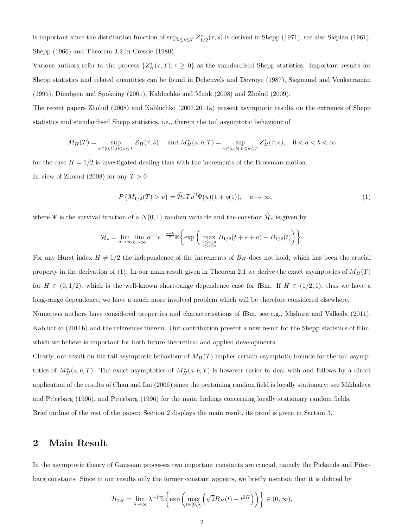is important since the distribution function of  $\sup_{0\leq s\leq T} Z^*_{1/2}(\tau, s)$  is derived in Shepp (1971), see also Slepian (1961), Shepp (1966) and Theorem 3.2 in Cressie (1980).

Various authors refer to the process  $\{Z_H^*(\tau,T), \tau \geq 0\}$  as the standardised Shepp statistics. Important results for Shepp statistics and related quantities can be found in Deheuvels and Devroye (1987), Siegmund and Venkatraman  $(1995)$ , Dümbgen and Spokoiny  $(2001)$ , Kabluchko and Munk  $(2008)$  and Zholud  $(2009)$ .

The recent papers Zholud (2008) and Kabluchko (2007,2011a) present asymptotic results on the extremes of Shepp statistics and standardised Shepp statistics, i.e., therein the tail asymptotic behaviour of

$$
M_H(T)=\sup_{\tau\in[0,1], 0\leq s\leq T}Z_H(\tau,s)\quad \text{ and }M_H^*(a,b,T)=\sup_{\tau\in[a,b], 0\leq s\leq T}Z_H^*(\tau,s),\quad 0
$$

for the case  $H = 1/2$  is investigated dealing thus with the increments of the Brownian motion. In view of Zholud (2008) for any  $T > 0$ 

$$
P\left(M_{1/2}(T) > u\right) = \widetilde{\mathcal{H}}_* T u^2 \Psi(u) (1 + o(1)), \quad u \to \infty,
$$
\n<sup>(1)</sup>

where  $\Psi$  is the survival function of a  $N(0, 1)$  random variable and the constant  $\mathcal{H}_*$  is given by

$$
\widetilde{\mathcal{H}}_{*} = \lim_{a \to \infty} \lim_{b \to \infty} a^{-1} e^{-\frac{a+b}{2}} \mathbb{E} \bigg\{ \exp \bigg( \max_{\substack{0 \le t \le a \\ 0 \le s \le b}} B_{1/2}(t+s+a) - B_{1/2}(t) \bigg) \bigg\}.
$$

For any Hurst index  $H \neq 1/2$  the independence of the increments of  $B_H$  does not hold, which has been the crucial property in the derivation of (1). In our main result given in Theorem 2.1 we derive the exact asymptotics of  $M_H(T)$ for  $H \in (0, 1/2)$ , which is the well-known short-range dependence case for fBm. If  $H \in (1/2, 1)$ , thus we have a long-range dependence, we have a much more involved problem which will be therefore considered elsewhere. Numerous authors have considered properties and characterisations of fBm, see e.g., Mishura and Valkeila (2011), Kabluchko (2011b) and the references therein. Our contribution present a new result for the Shepp statistics of fBm, which we believe is important for both future theoretical and applied developments.

Clearly, our result on the tail asymptotic behaviour of  $M_H(T)$  implies certain asymptotic bounds for the tail asymptotics of  $M^*_H(a, b, T)$ . The exact asymptotics of  $M^*_H(a, b, T)$  is however easier to deal with and follows by a direct application of the results of Chan and Lai (2006) since the pertaining random field is locally stationary; see Mikhaleva and Piterbarg (1996), and Piterbarg (1996) for the main findings concerning locally stationary random fields. Brief outline of the rest of the paper: Section 2 displays the main result, its proof is given in Section 3.

#### 2 Main Result

In the asymptotic theory of Gaussian processes two important constants are crucial, namely the Pickands and Piterbarg constants. Since in our results only the former constant appears, we briefly mention that it is defined by

$$
\mathcal{H}_{2H} = \lim_{\lambda \to \infty} \lambda^{-1} \mathbb{E} \left\{ \exp \left( \max_{t \in [0,\lambda]} \left( \sqrt{2} B_H(t) - t^{2H} \right) \right) \right\} \in (0,\infty).
$$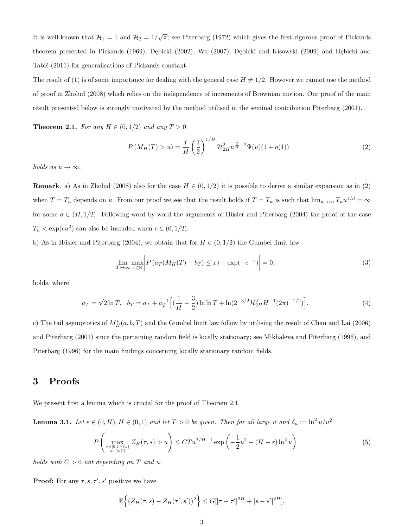It is well-known that  $\mathcal{H}_1 = 1$  and  $\mathcal{H}_2 = 1/\sqrt{\pi}$ ; see Piterbarg (1972) which gives the first rigorous proof of Pickands theorem presented in Pickands (1969), Dębicki (2002), Wu (2007), Dębicki and Kisowski (2009) and Dębicki and Tabis (2011) for generalisations of Pickands constant.

The result of (1) is of some importance for dealing with the general case  $H \neq 1/2$ . However we cannot use the method of proof in Zholud (2008) which relies on the independence of increments of Brownian motion. Our proof of the main result presented below is strongly motivated by the method utilised in the seminal contribution Piterbarg (2001).

**Theorem 2.1.** For any  $H \in (0, 1/2)$  and any  $T > 0$ 

$$
P(M_H(T) > u) = \frac{T}{H} \left(\frac{1}{2}\right)^{1/H} \mathcal{H}_{2H}^2 u^{\frac{2}{H} - 2} \Psi(u) (1 + o(1)) \tag{2}
$$

holds as  $u \to \infty$ .

**Remark.** a) As in Zholud (2008) also for the case  $H \in (0, 1/2)$  it is possible to derive a similar expansion as in (2) when  $T = T_u$  depends on u. From our proof we see that the result holds if  $T = T_u$  is such that  $\lim_{u\to\infty} T_u u^{1/d} = \infty$ for some  $d \in (H, 1/2)$ . Following word-by-word the arguments of Hüsler and Piterbarg (2004) the proof of the case  $T_u < \exp(cu^2)$  can also be included when  $c \in (0, 1/2)$ .

b) As in Hüsler and Piterbarg (2004), we obtain that for  $H \in (0, 1/2)$  the Gumbel limit law

$$
\lim_{T \to \infty} \max_{x \in \mathbb{R}} \left| P\left( a_T(M_H(T) - b_T) \le x \right) - \exp(-e^{-x}) \right| = 0,\tag{3}
$$

holds, where

$$
a_T = \sqrt{2\ln T}, \quad b_T = a_T + a_T^{-1} \Big[ \left( \frac{1}{H} - \frac{3}{2} \right) \ln \ln T + \ln(2^{-3/2} \mathcal{H}_{2H}^2 H^{-1} (2\pi)^{-1/2}) \Big]. \tag{4}
$$

c) The tail asymptotics of  $M_H^*(a, b, T)$  and the Gumbel limit law follow by utilising the result of Chan and Lai (2006) and Piterbarg (2001) since the pertaining random field is locally stationary; see Mikhaleva and Piterbarg (1996), and Piterbarg (1996) for the main findings concerning locally stationary random fields.

### 3 Proofs

We present first a lemma which is crucial for the proof of Theorem 2.1.

**Lemma 3.1.** Let  $\varepsilon \in (0, H), H \in (0, 1)$  and let  $T > 0$  be given. Then for all large u and  $\delta_u := \ln^2 u/u^2$ 

$$
P\left(\max_{\substack{\tau \in [0,1-\delta_u] \\ s \in [0,T]}} Z_H(\tau,s) > u\right) \le CTu^{2/H-1} \exp\left(-\frac{1}{2}u^2 - (H-\varepsilon)\ln^2 u\right) \tag{5}
$$

holds with  $C > 0$  not depending on T and u.

**Proof:** For any  $\tau, s, \tau', s'$  positive we have

$$
\mathbb{E}\Big\{(Z_H(\tau,s)-Z_H(\tau',s'))^2\Big\}\leq G[|\tau-\tau'|^{2H}+|s-s'|^{2H}],
$$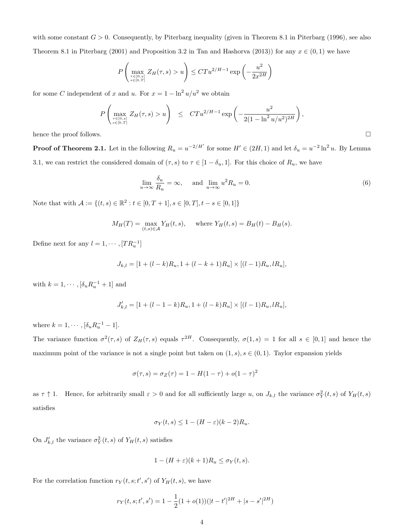with some constant  $G > 0$ . Consequently, by Piterbarg inequality (given in Theorem 8.1 in Piterbarg (1996), see also Theorem 8.1 in Piterbarg (2001) and Proposition 3.2 in Tan and Hashorva (2013)) for any  $x \in (0,1)$  we have

$$
P\left(\max_{\substack{\tau \in [0,x] \\ s \in [0,T]}} Z_H(\tau,s) > u\right) \le CTu^{2/H-1} \exp\left(-\frac{u^2}{2x^{2H}}\right)
$$

for some C independent of x and u. For  $x = 1 - \ln^2 u/u^2$  we obtain

$$
P\left(\max_{\substack{\tau \in [0,x] \\ s \in [0,T]}} Z_H(\tau,s) > u\right) \leq CTu^{2/H-1} \exp\left(-\frac{u^2}{2(1-\ln^2 u/u^2)^{2H}}\right),
$$

hence the proof follows.

**Proof of Theorem 2.1.** Let in the following  $R_u = u^{-2/H'}$  for some  $H' \in (2H, 1)$  and let  $\delta_u = u^{-2} \ln^2 u$ . By Lemma 3.1, we can restrict the considered domain of  $(\tau, s)$  to  $\tau \in [1 - \delta_u, 1]$ . For this choice of  $R_u$ , we have

$$
\lim_{u \to \infty} \frac{\delta_u}{R_u} = \infty, \quad \text{and} \quad \lim_{u \to \infty} u^2 R_u = 0. \tag{6}
$$

Note that with  $A := \{(t, s) \in \mathbb{R}^2 : t \in [0, T + 1], s \in [0, T], t - s \in [0, 1]\}$ 

$$
M_H(T) = \max_{(t,s)\in A} Y_H(t,s)
$$
, where  $Y_H(t,s) = B_H(t) - B_H(s)$ .

Define next for any  $l = 1, \cdots, [TR_u^{-1}]$ 

$$
J_{k,l}=[1+(l-k)R_u,1+(l-k+1)R_u]\times[(l-1)R_u,lR_u],
$$

with  $k = 1, \dots, [\delta_u R_u^{-1} + 1]$  and

$$
J'_{k,l} = [1 + (l - 1 - k)R_u, 1 + (l - k)R_u] \times [(l - 1)R_u, lR_u],
$$

where  $k = 1, \dots, [\delta_u R_u^{-1} - 1].$ 

The variance function  $\sigma^2(\tau,s)$  of  $Z_H(\tau,s)$  equals  $\tau^{2H}$ . Consequently,  $\sigma(1,s) = 1$  for all  $s \in [0,1]$  and hence the maximum point of the variance is not a single point but taken on  $(1, s), s \in (0, 1)$ . Taylor expansion yields

$$
\sigma(\tau, s) = \sigma_Z(\tau) = 1 - H(1 - \tau) + o(1 - \tau)^2
$$

as  $\tau \uparrow 1$ . Hence, for arbitrarily small  $\varepsilon > 0$  and for all sufficiently large u, on  $J_{k,l}$  the variance  $\sigma_Y^2(t,s)$  of  $Y_H(t,s)$ satisfies

$$
\sigma_Y(t,s) \le 1 - (H - \varepsilon)(k-2)R_u.
$$

On  $J'_{k,l}$  the variance  $\sigma_Y^2(t,s)$  of  $Y_H(t,s)$  satisfies

$$
1 - (H + \varepsilon)(k+1)R_u \le \sigma_Y(t, s).
$$

For the correlation function  $r_Y(t, s; t', s')$  of  $Y_H(t, s)$ , we have

$$
r_Y(t, s; t', s') = 1 - \frac{1}{2}(1 + o(1))(|t - t'|^{2H} + |s - s'|^{2H})
$$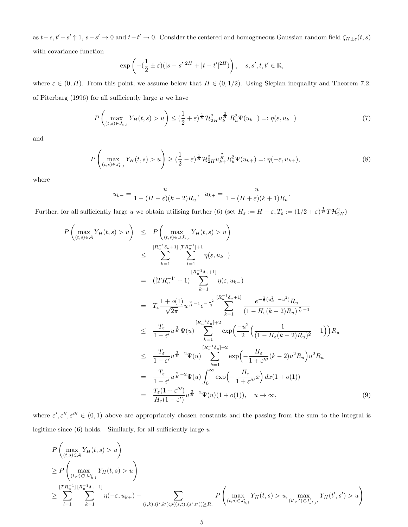as  $t-s, t'-s' \uparrow 1$ ,  $s-s' \to 0$  and  $t-t' \to 0$ . Consider the centered and homogeneous Gaussian random field  $\zeta_{H\pm\varepsilon}(t, s)$ with covariance function

$$
\exp\left(-\left(\frac{1}{2}\pm\varepsilon\right)(|s-s'|^{2H}+|t-t'|^{2H})\right),\quad s,s',t,t'\in\mathbb{R},
$$

where  $\varepsilon \in (0, H)$ . From this point, we assume below that  $H \in (0, 1/2)$ . Using Slepian inequality and Theorem 7.2. of Piterbarg (1996) for all sufficiently large  $u$  we have

$$
P\left(\max_{(t,s)\in J_{k,l}} Y_H(t,s) > u\right) \leq \left(\frac{1}{2} + \varepsilon\right)^{\frac{1}{H}} \mathcal{H}_{2H}^2 u_{k-}^{\frac{2}{H}} R_u^2 \Psi(u_{k-}) =: \eta(\varepsilon, u_{k-})
$$
\n(7)

and

$$
P\left(\max_{(t,s)\in J'_{k,l}} Y_H(t,s) > u\right) \ge \left(\frac{1}{2} - \varepsilon\right)^{\frac{1}{H}} \mathcal{H}_{2H}^2 u_{k+}^{\frac{2}{H}} R_u^2 \Psi(u_{k+}) =: \eta(-\varepsilon, u_{k+}),\tag{8}
$$

.

where

$$
u_{k-} = \frac{u}{1 - (H - \varepsilon)(k-2)R_u}, \ \ u_{k+} = \frac{u}{1 - (H + \varepsilon)(k+1)R_u}
$$

Further, for all sufficiently large u we obtain utilising further (6) (set  $H_{\varepsilon} := H - \varepsilon$ ,  $T_{\varepsilon} := (1/2 + \varepsilon)^{\frac{1}{H}} T \mathcal{H}_{2H}^2$ )

$$
P\left(\max_{(t,s)\in\mathcal{A}} Y_H(t,s) > u\right) \leq P\left(\max_{(t,s)\in\cup J_{k,l}} Y_H(t,s) > u\right)
$$
  
\n
$$
\leq \sum_{k=1}^{\lfloor R_u^{-1}\delta_u + 1 \rfloor} \sum_{l=1}^{\lfloor T R_u^{-1} \rfloor + 1} \eta(\varepsilon, u_{k-})
$$
  
\n
$$
= (\lfloor T R_u^{-1} \rfloor + 1) \sum_{k=1}^{\lfloor R_u^{-1}\delta_u + 1 \rfloor} \eta(\varepsilon, u_{k-})
$$
  
\n
$$
= T_{\varepsilon} \frac{1 + o(1)}{\sqrt{2\pi}} u^{\frac{2}{H} - 1} e^{-\frac{u^2}{2}} \sum_{k=1}^{\lfloor R_u^{-1}\delta_u + 1 \rfloor} \frac{e^{-\frac{1}{2}(u_{k-}^2 - u^2)} R_u}{(1 - H_{\varepsilon}(k-2)R_u)^{\frac{2}{H} - 1}}
$$
  
\n
$$
\leq \frac{T_{\varepsilon}}{1 - \varepsilon'} u^{\frac{2}{H}} \Psi(u) \sum_{k=1}^{\lfloor R_u^{-1}\delta_u \rfloor + 2} \exp\left(\frac{-u^2}{2} \left(\frac{1}{(1 - H_{\varepsilon}(k-2)R_u)^2} - 1\right)\right) R_u
$$
  
\n
$$
\leq \frac{T_{\varepsilon}}{1 - \varepsilon'} u^{\frac{2}{H} - 2} \Psi(u) \sum_{k=1}^{\lfloor R_u^{-1}\delta_u \rfloor + 2} \exp\left(-\frac{H_{\varepsilon}}{1 + \varepsilon'''}(k-2)u^2 R_u\right) u^2 R_u
$$
  
\n
$$
= \frac{T_{\varepsilon}}{1 - \varepsilon'} u^{\frac{2}{H} - 2} \Psi(u) \int_0^{\infty} \exp\left(-\frac{H_{\varepsilon}}{1 + \varepsilon'''}x\right) dx(1 + o(1))
$$
  
\n
$$
= \frac{T_{\varepsilon}(1 + \varepsilon''')}{H_{\varepsilon}(1 - \varepsilon')} u^{\frac{2}{H} - 2} \Psi(u)(1 + o(1)), \quad u \to \infty,
$$
  
\n(9)

where  $\varepsilon', \varepsilon'', \varepsilon''' \in (0, 1)$  above are appropriately chosen constants and the passing from the sum to the integral is legitime since  $(6)$  holds. Similarly, for all sufficiently large u

$$
P\left(\max_{(t,s)\in\mathcal{A}} Y_H(t,s) > u\right)
$$
  
\n
$$
\geq P\left(\max_{(t,s)\in\cup J'_{k,l}} Y_H(t,s) > u\right)
$$
  
\n
$$
\geq \sum_{l=1}^{[TR_u^{-1}]} \sum_{k=1}^{[R_u^{-1}\delta_u - 1]} \eta(-\varepsilon, u_{k+}) - \sum_{(l,k),(l',k'):\rho((s,t),(s',t'))\geq R_u} P\left(\max_{(t,s)\in J'_{k,l}} Y_H(t,s) > u, \max_{(t',s')\in J'_{k',l'}} Y_H(t',s') > u\right)
$$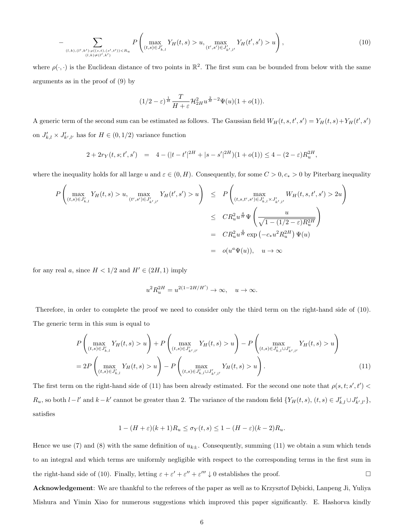$$
-\sum_{(l,k),(l',k'): \rho((s,t),(s',t')) u, \max_{(t',s')\in J'_{k',l'}} Y_H(t',s') > u\right),\tag{10}
$$

where  $\rho(\cdot, \cdot)$  is the Euclidean distance of two points in  $\mathbb{R}^2$ . The first sum can be bounded from below with the same arguments as in the proof of (9) by

$$
(1/2 - \varepsilon)^{\frac{1}{H}} \frac{T}{H + \varepsilon} \mathcal{H}_{2H}^2 u^{\frac{2}{H} - 2} \Psi(u) (1 + o(1)).
$$

A generic term of the second sum can be estimated as follows. The Gaussian field  $W_H(t, s, t', s') = Y_H(t, s) + Y_H(t', s')$ on  $J'_{k,l} \times J'_{k',l'}$  has for  $H \in (0,1/2)$  variance function

$$
2 + 2r_Y(t, s; t', s') = 4 - (|t - t'|^{2H} + |s - s'|^{2H})(1 + o(1)) \le 4 - (2 - \varepsilon)R_u^{2H},
$$

where the inequality holds for all large u and  $\varepsilon \in (0, H)$ . Consequently, for some  $C > 0, c_* > 0$  by Piterbarg inequality

$$
P\left(\max_{(t,s)\in J'_{k,l}} Y_H(t,s) > u, \max_{(t',s')\in J'_{k',l'}} Y_H(t',s') > u\right) \leq P\left(\max_{(t,s,t',s')\in J'_{k,l}\times J'_{k',l'}} W_H(t,s,t',s') > 2u\right)
$$
  

$$
\leq C R_u^2 u^{\frac{4}{H}} \Psi\left(\frac{u}{\sqrt{1-(1/2-\varepsilon)R_u^{2H}}}\right)
$$
  

$$
= C R_u^2 u^{\frac{4}{H}} \exp(-c_* u^2 R_u^{2H}) \Psi(u)
$$
  

$$
= o(u^a \Psi(u)), \quad u \to \infty
$$

for any real a, since  $H < 1/2$  and  $H' \in (2H, 1)$  imply

$$
u^2 R_u^{2H} = u^{2(1-2H/H')} \to \infty, \quad u \to \infty.
$$

Therefore, in order to complete the proof we need to consider only the third term on the right-hand side of (10). The generic term in this sum is equal to

$$
P\left(\max_{(t,s)\in J'_{k,l}} Y_H(t,s) > u\right) + P\left(\max_{(t,s)\in J'_{k',l'}} Y_H(t,s) > u\right) - P\left(\max_{(t,s)\in J'_{k,l}\cup J'_{k',l'}} Y_H(t,s) > u\right)
$$
  
= 
$$
2P\left(\max_{(t,s)\in J'_{k,l}} Y_H(t,s) > u\right) - P\left(\max_{(t,s)\in J'_{k,l}\cup J'_{k',l'}} Y_H(t,s) > u\right).
$$
 (11)

The first term on the right-hand side of (11) has been already estimated. For the second one note that  $\rho(s,t;s',t')$  $R_u$ , so both  $l - l'$  and  $k - k'$  cannot be greater than 2. The variance of the random field  $\{Y_H(t, s), (t, s) \in J'_{k,l} \cup J'_{k',l'}\},\$ satisfies

$$
1 - (H + \varepsilon)(k+1)R_u \le \sigma_Y(t, s) \le 1 - (H - \varepsilon)(k-2)R_u.
$$

Hence we use (7) and (8) with the same definition of  $u_{k\pm}$ . Consequently, summing (11) we obtain a sum which tends to an integral and which terms are uniformly negligible with respect to the corresponding terms in the first sum in the right-hand side of (10). Finally, letting  $\varepsilon + \varepsilon' + \varepsilon'' + \varepsilon''' \downarrow 0$  establishes the proof.

Acknowledgement: We are thankful to the referees of the paper as well as to Krzysztof Dębicki, Lanpeng Ji, Yuliya Mishura and Yimin Xiao for numerous suggestions which improved this paper significantly. E. Hashorva kindly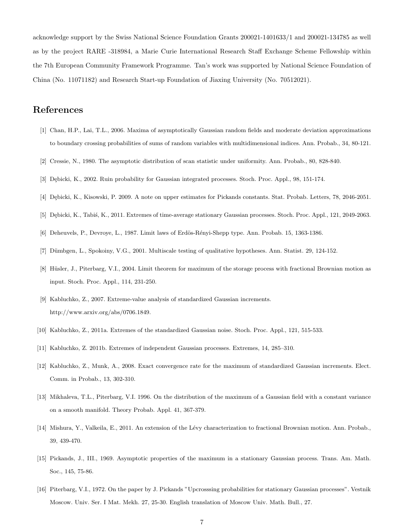acknowledge support by the Swiss National Science Foundation Grants 200021-1401633/1 and 200021-134785 as well as by the project RARE -318984, a Marie Curie International Research Staff Exchange Scheme Fellowship within the 7th European Community Framework Programme. Tan's work was supported by National Science Foundation of China (No. 11071182) and Research Start-up Foundation of Jiaxing University (No. 70512021).

# References

- [1] Chan, H.P., Lai, T.L., 2006. Maxima of asymptotically Gaussian random fields and moderate deviation approximations to boundary crossing probabilities of sums of random variables with multidimensional indices. Ann. Probab., 34, 80-121.
- [2] Cressie, N., 1980. The asymptotic distribution of scan statistic under uniformity. Ann. Probab., 80, 828-840.
- [3] Dębicki, K., 2002. Ruin probability for Gaussian integrated processes. Stoch. Proc. Appl., 98, 151-174.
- [4] Dębicki, K., Kisowski, P. 2009. A note on upper estimates for Pickands constants. Stat. Probab. Letters, 78, 2046-2051.
- [5] Dębicki, K., Tabiś, K., 2011. Extremes of time-average stationary Gaussian processes. Stoch. Proc. Appl., 121, 2049-2063.
- [6] Deheuvels, P., Devroye, L., 1987. Limit laws of Erdös-Rényi-Shepp type. Ann. Probab. 15, 1363-1386.
- [7] Dümbgen, L., Spokoiny, V.G., 2001. Multiscale testing of qualitative hypotheses. Ann. Statist. 29, 124-152.
- [8] Hüsler, J., Piterbarg, V.I., 2004. Limit theorem for maximum of the storage process with fractional Brownian motion as input. Stoch. Proc. Appl., 114, 231-250.
- [9] Kabluchko, Z., 2007. Extreme-value analysis of standardized Gaussian increments. http://www.arxiv.org/abs/0706.1849.
- [10] Kabluchko, Z., 2011a. Extremes of the standardized Gaussian noise. Stoch. Proc. Appl., 121, 515-533.
- [11] Kabluchko, Z. 2011b. Extremes of independent Gaussian processes. Extremes, 14, 285–310.
- [12] Kabluchko, Z., Munk, A., 2008. Exact convergence rate for the maximum of standardized Gaussian increments. Elect. Comm. in Probab., 13, 302-310.
- [13] Mikhaleva, T.L., Piterbarg, V.I. 1996. On the distribution of the maximum of a Gaussian field with a constant variance on a smooth manifold. Theory Probab. Appl. 41, 367-379.
- [14] Mishura, Y., Valkeila, E., 2011. An extension of the Lévy characterization to fractional Brownian motion. Ann. Probab., 39, 439-470.
- [15] Pickands, J., III., 1969. Asymptotic properties of the maximum in a stationary Gaussian process. Trans. Am. Math. Soc., 145, 75-86.
- [16] Piterbarg, V.I., 1972. On the paper by J. Pickands "Upcrosssing probabilities for stationary Gaussian processes". Vestnik Moscow. Univ. Ser. I Mat. Mekh. 27, 25-30. English translation of Moscow Univ. Math. Bull., 27.